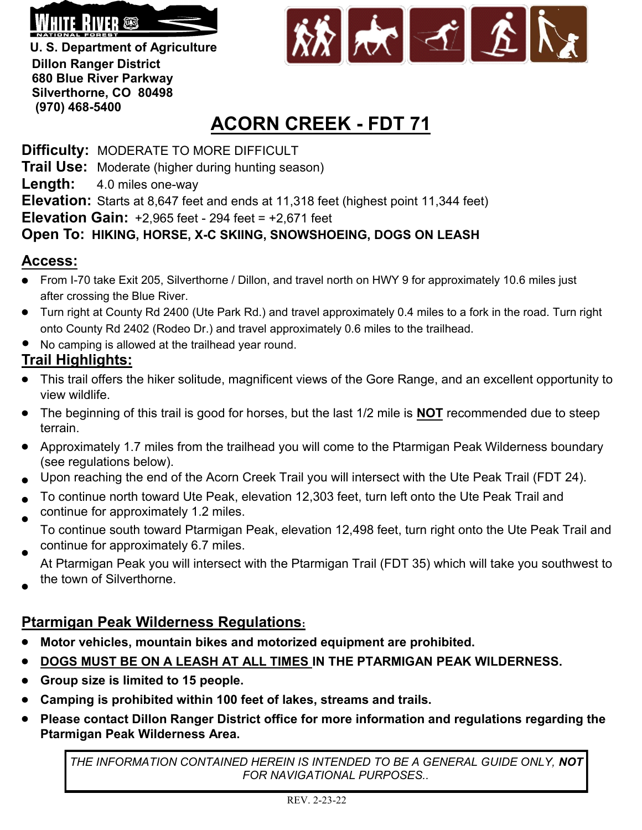

**U. S. Department of Agriculture Dillon Ranger District 680 Blue River Parkway Silverthorne, CO 80498 (970) 468-5400**



## **ACORN CREEK - FDT 71**

**Difficulty:** MODERATE TO MORE DIFFICULT **Trail Use:** Moderate (higher during hunting season) **Length:** 4.0 miles one-way **Elevation:** Starts at 8,647 feet and ends at 11,318 feet (highest point 11,344 feet) **Elevation Gain:** +2,965 feet - 294 feet = +2,671 feet **Open To: HIKING, HORSE, X-C SKIING, SNOWSHOEING, DOGS ON LEASH**

## **Access:**

- From I-70 take Exit 205, Silverthorne / Dillon, and travel north on HWY 9 for approximately 10.6 miles just after crossing the Blue River.
- Turn right at County Rd 2400 (Ute Park Rd.) and travel approximately 0.4 miles to a fork in the road. Turn right onto County Rd 2402 (Rodeo Dr.) and travel approximately 0.6 miles to the trailhead.
- No camping is allowed at the trailhead year round.

## **Trail Highlights:**

- This trail offers the hiker solitude, magnificent views of the Gore Range, and an excellent opportunity to view wildlife.
- The beginning of this trail is good for horses, but the last 1/2 mile is **NOT** recommended due to steep terrain.
- Approximately 1.7 miles from the trailhead you will come to the Ptarmigan Peak Wilderness boundary (see regulations below).
- Upon reaching the end of the Acorn Creek Trail you will intersect with the Ute Peak Trail (FDT 24).
- To continue north toward Ute Peak, elevation 12,303 feet, turn left onto the Ute Peak Trail and
- continue for approximately 1.2 miles.
- To continue south toward Ptarmigan Peak, elevation 12,498 feet, turn right onto the Ute Peak Trail and continue for approximately 6.7 miles.
- At Ptarmigan Peak you will intersect with the Ptarmigan Trail (FDT 35) which will take you southwest to the town of Silverthorne.
- 

## **Ptarmigan Peak Wilderness Regulations:**

- **Motor vehicles, mountain bikes and motorized equipment are prohibited.**
- **DOGS MUST BE ON A LEASH AT ALL TIMES IN THE PTARMIGAN PEAK WILDERNESS.**
- **Group size is limited to 15 people.**
- **Camping is prohibited within 100 feet of lakes, streams and trails.**
- **Please contact Dillon Ranger District office for more information and regulations regarding the Ptarmigan Peak Wilderness Area.**

*THE INFORMATION CONTAINED HEREIN IS INTENDED TO BE A GENERAL GUIDE ONLY, NOT FOR NAVIGATIONAL PURPOSES..*